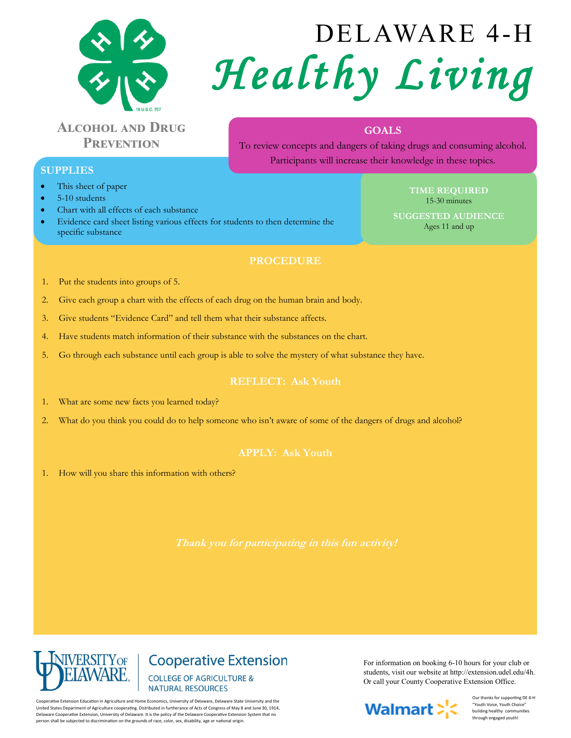

# **Alcohol and Drug Prevention**

# DELAWARE 4-H *Healthy Living*

# **GOALS**

To review concepts and dangers of taking drugs and consuming alcohol. Participants will increase their knowledge in these topics.

## **SUPPLIES**

- This sheet of paper
- 5-10 students
- Chart with all effects of each substance
- Evidence card sheet listing various effects for students to then determine the specific substance

#### **TIME REQUIRED** 15-30 minutes

**SUGGESTED AUDIENCE** Ages 11 and up

# **PROCEDURE**

- 1. Put the students into groups of 5.
- 2. Give each group a chart with the effects of each drug on the human brain and body.
- 3. Give students "Evidence Card" and tell them what their substance affects.
- 4. Have students match information of their substance with the substances on the chart.
- 5. Go through each substance until each group is able to solve the mystery of what substance they have.

## **REFLECT: Ask Youth**

- 1. What are some new facts you learned today?
- 2. What do you think you could do to help someone who isn't aware of some of the dangers of drugs and alcohol?

1. How will you share this information with others?



**Cooperative Extension COLLEGE OF AGRICULTURE & NATURAL RESOURCES** 

Cooperative Extension Education in Agriculture and Home Economics, University of Delaware, Delaware State University and the United States Department of Agriculture cooperating. Distributed in furtherance of Acts of Congress of May 8 and June 30, 1914, Delaware Cooperative Extension, University of Delaware. It is the policy of the Delaware Cooperative Extension System that no person shall be subjected to discrimination on the grounds of race, color, sex, disability, age or national origin.

For information on booking 6-10 hours for your club or students, visit our website at http://extension.udel.edu/4h. Or call your County Cooperative Extension Office.



Our thanks for supporting DE 4-H "Youth Voice, Youth Choice" building healthy communities through engaged youth!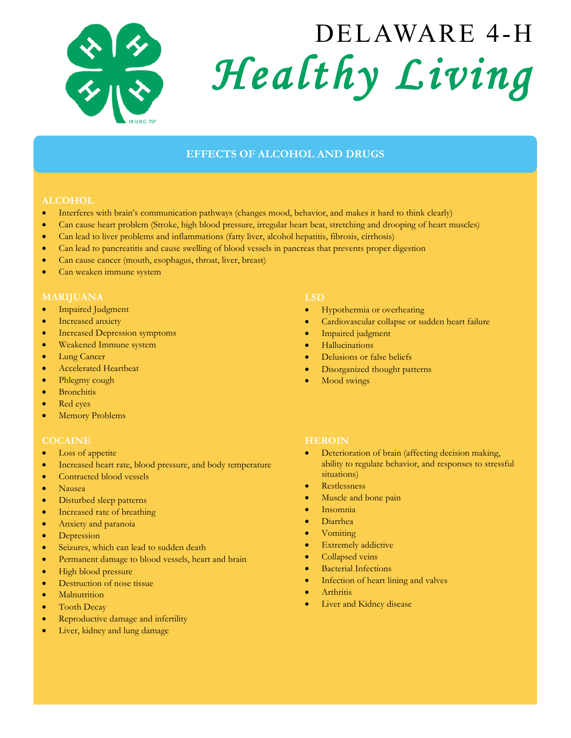

# DELAWARE 4-H *Healthy Living*

# **EFFECTS OF ALCOHOL AND DRUGS**

- Interferes with brain's communication pathways (changes mood, behavior, and makes it hard to think clearly)
- Can cause heart problem (Stroke, high blood pressure, irregular heart beat, stretching and drooping of heart muscles)
- Can lead to liver problems and inflammations (fatty liver, alcohol hepatitis, fibrosis, cirrhosis)
- Can lead to pancreatitis and cause swelling of blood vessels in pancreas that prevents proper digestion
- Can cause cancer (mouth, esophagus, throat, liver, breast)
- Can weaken immune system

- Impaired Judgment
- Increased anxiety
- Increased Depression symptoms
- Weakened Immune system
- Lung Cancer
- Accelerated Heartbeat
- Phlegmy cough
- Bronchitis
- Red eyes
- Memory Problems

#### **COCAINE**

- Loss of appetite
- Increased heart rate, blood pressure, and body temperature
- Contracted blood vessels
- Nausea
- Disturbed sleep patterns
- Increased rate of breathing
- Anxiety and paranoia
- Depression
- Seizures, which can lead to sudden death
- **•** Permanent damage to blood vessels, heart and brain
- High blood pressure
- Destruction of nose tissue
- Malnutrition
- Tooth Decay
- Reproductive damage and infertility
- Liver, kidney and lung damage

#### **LSD**

- Hypothermia or overheating
- Cardiovascular collapse or sudden heart failure
- Impaired judgment
- Hallucinations
- Delusions or false beliefs
- Disorganized thought patterns
- Mood swings

#### **HEROIN**

- Deterioration of brain (affecting decision making, ability to regulate behavior, and responses to stressful situations)
- Restlessness
- Muscle and bone pain
- Insomnia
- Diarrhea
- Vomiting
- Extremely addictive
- Collapsed veins
- Bacterial Infections
- Infection of heart lining and valves
- **Arthritis**
- Liver and Kidney disease